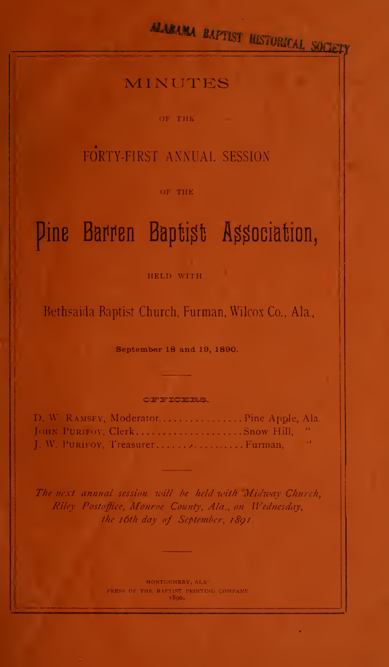# ALABAMA BAPTIST HISTORICAL SOCIETY

# MINUTES

## OF THE

# FORTY-FIRST ANNUAL SESSION

OF THE

# **Pine Barren Baptist Association,**

HELD WITH

Bethsaida Baptist Church, Furman, Wilcox Co., Ala.,

September 18 and 19, 1890.

#### OFFICERS.

D. W. RAMSEY, Moderator...............Pine Apple, Ala. JOHN PURIFOY, Clerk...................Snow Hill,  $\mathcal{C}\mathcal{L}$ J. W. PURIFOY, Treasurer.................Furman,

The next annual session will be held with Midway Church, Riley Postoffice, Monroe County, Ala., on Wednesday, the 16th day of September, 1891.

> MONTGOMERY, ALA<sup>.</sup> TRESS OF THE BAPTIST PRINTING COMPANY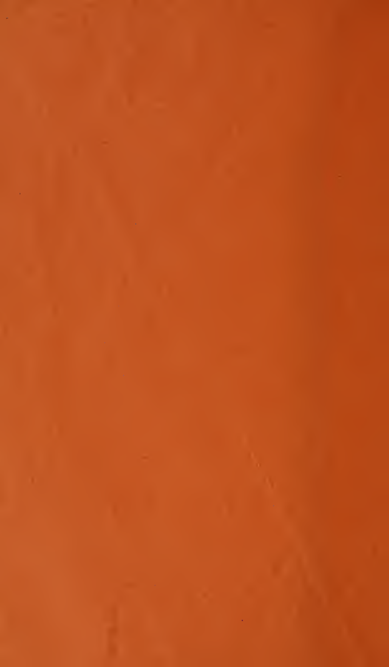

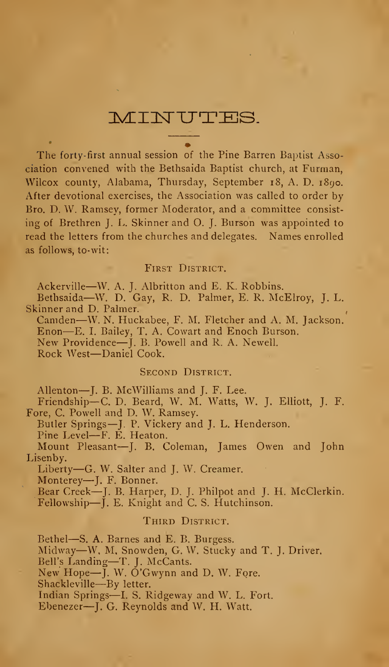# MINUTES.

The forty-first annual session of the Pine Barren Baptist Association convened with the Bethsaida Baptist church, at Furman, Wilcox county, Alabama, Thursday, September i8, A. D. 1890. After devotional exercises, the Association was called to order by Bro. D. W. Ramsey, former Moderator, and a committee consist ing of Brethren J. L. Skinner and O. J. Burson was appointed to read the letters from the churches and delegates. Names enrolled as follows, to-wit:

#### FIRST DISTRICT.

Ackerville—W. A. J. Albritton and E. K. Robbins.

Bethsaida—W. D. Gay, R. D. Palmer, E. R. McElroy, J. L. Skinner and D. Palmer.

Camden—W. N. Huckabee, F. M. Fletcher and A. M. Jackson. New Providence—J. B. Powell and R. A. Newell. Rock West—Daniel Cook.

#### SECOND DISTRICT.

Allenton—T. B. McWilliams and J. F. Lee. Friendship— C. D. Beard, W. M. Watts, W. J. Elliott, J. F. Fore, C. Powell and D. W. Ramsey.

Butler Springs—J. P. Vickery and J. L. Henderson.<br>Pine Level—F. E. Heaton.

Mount Pleasant--J. B. Coleman, James Owen and John Lisenby.

Liberty—G. W. Salter and J. W. Creamer.<br>Monterey—J. F. Bonner.

Monterey—J. F. Bonner.<br>Bear Creek—J. B. Harper, D. J. Philpot and J. H. McClerkin. Fellowship—J. E. Knight and C. S. Hutchinson.

#### THIRD DISTRICT.

Bethel—S. A. Barnes and E. B. Burgess.

Midway—W, M. Snowden, G. W. Stucky and T. J. Driver.

Bell's Landing—T. J. McCants.

New Hope—J. W. O'Gwynn and D. W. Fore.

Shackleville—By letter.

Indian Springs—I. S. Ridgeway and W. L. Fort. Ebenezer—J. G. Reynolds and W. H. Watt.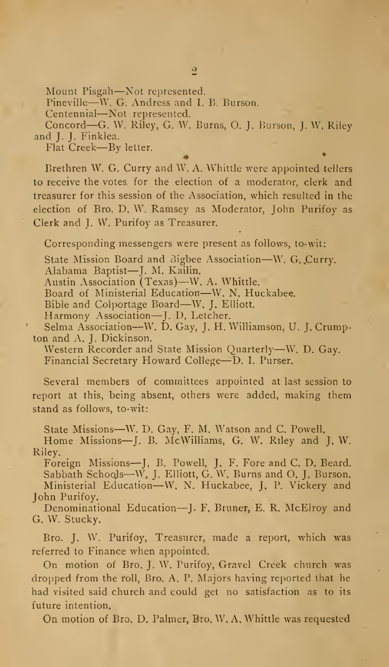Mount Pisgah—Not represented.

Pineville—W. G. Andress and I. B. Burson.

Centennial—Not represented.

Concord—G. W. Riley, G. W. Burns, O. J. Burson, J. W. Riley and J. J. Finklea.

•

Flat Creek—By letter.

Brethren W. G. Curry and W. A. Whittle were appointed tellers to receive the votes for the election of a moderator, clerk and treasurer for this session of the Association, which resulted in the election of Bro. D. W. Ramsey as Moderator, John Purifoy as Clerk and J. W. Purifoy as Treasurer.

Corresponding messengers were present as follows, to-wit:

State Mission Board and Bigbee Association—W. G, Curry.<br>Alabama Baptist—J. M. Kailin.

Austin Association (Texas)—W. A. Whittle.

Board of Ministerial Education—W. N. Huckabee.

Harmony Association—J. D, Letcher.

Selma Association—W. D. Gay, J. H. Williamson, U. J. Crumpton and A. J. Dickinson.

Western Recorder and State Mission Quarterly—W, D. Gay. Financial Secretary Howard College—D. I. Purser.

Several members of committees appointed at last session to report at this, being absent, others were added, making them stand as follows, to-wit:

State Missions—W. D. Gay, F, M. Watson and C. Powell, Home Missions—J. B. McWilliams, G. W. Riley and J, W. Riley.

Foreign Missions—J, B. Powell, J, F. Fore and C. D. Beard. Sabbath Schoojs—W, J. Elliott, G. W. Burns and O. J, Burson. Ministerial Education—W. N. Huckabee, J. P. Vickery and John Purifoy.

Denominational Education—J. F, Bruner, E. R. McElroy and G. W. Stucky.

Bro. J. W. Purifoy, Treasurer, made <sup>a</sup> report, which was referred to Finance when appointed.

On motion of Bro. J. W. Purifoy, Gravel Creek church was dropped from the roll, Bro. A. P. Majors having reported that he had visited said church and could get no satisfaction as to its future intention,

On motion of Bro, D. Palmer, Bro, W. A, Whittle was requested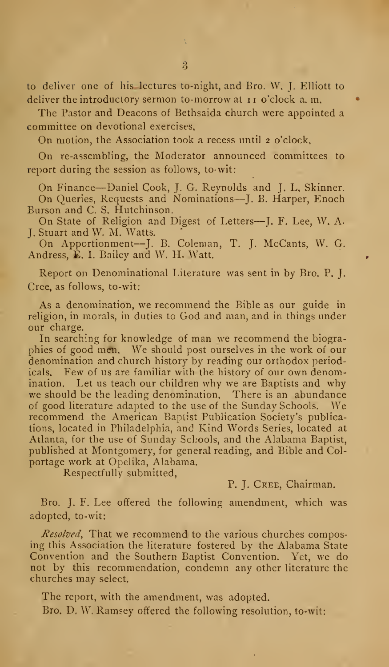to deliver one of his lectures to-night, and Bro. W. J. Elliott to deliver the introductory sermon to-morrow at 11 o'clock a.m.

The Pastor and Deacons of Bethsaida church were appointed a committee on devotional exercises,

On motion, the Association took <sup>a</sup> recess until <sup>2</sup> o'clock,

On re-assembling, the Moderator announced committees to report during the session as follows, to- wit:

On Finance—Daniel Cook, J. G. Reynolds and J. L. Skinner. On Queries, Requests and Nominations—J. B. Harper, Enoch Burson and C. S. Hutchinson.

On State of Religion and Digest of Letters—J. F. Lee, W. A.

On Apportionment-J. B. Coleman, T. J. McCants, W. G. Andress, E. I. Bailey and W. H. Watt.

Report on Denominational Literature was sent in by Bro. P, J. Cree, as follows, to-wit:

As a denomination, we recommend the Bible as our guide in religion, in morals, in duties to God and man, and in things under our charge.

In searching for knowledge of man we recommend the biographies of good men. We should post ourselves in the work of our denomination and church history by reading our orthodox periodicals. Few of us are familiar with the history of our own denomination. Let us teach our children why we are Baptists and why we should be the leading denomination. There is an abundance of good literature adapted to the use of the Sunday Schools. We recommend the American Baptist Publication Society's publications, located in Philadelphia, and Kind Words Series, located at Atlanta, for the use of Sunday Schools, and the Alabama Baptist, published at Montgomery, for general reading, and Bible and Col portage work at Opelika, Alabama.

Respectfully submitted,

P. J. CREE, Chairman.

Bro. J. F. Lee offered the following amendment, which was adopted, to-wit:

Resolved, That we recommend to the various churches composing this Association the literature fostered by the Alabama State Convention and the Southern Baptist Convention. Yet, we do not by this recommendation, condemn any other literature the churches may select.

The report, with the amendment, was adopted. Bro, D. W. Ramsey offered the following resolution, to-wit: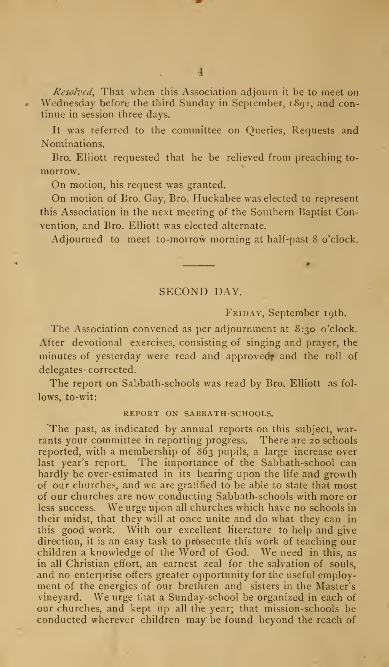Resolved, That when this Association adjourn it be to meet on Wednesday before the third Sunday in September, 1891, and continue in session three days.

It was referred to the committee on Queries, Requests and Nominations.

Bro, Elliott requested that he be relieved from preaching to morrow.

On motion, his request was granted.

On motion of Bro. Gay, Bro. Huckabee was elected to represent this Association in the next meeting of the Southern Baptist Convention, and Bro. Elliott was elected alternate.

Adjourned to meet to-morrow morning at half-past 8 o'clock.

#### SECOND DAY.

FRIDAY, September 19th.

The Association convened as per adjournment at 8:30 o'clock. After devotional exercises, consisting of singing and prayer, the minutes of yesterday were read and approved, and the roll of delegates corrected.

The report on Sabbath-schools was read by Bro. Elliott as fol lows, to-wit:

#### REPORT ON SABBATH-SCHOOLS.

The past, as indicated by annual reports on this subject, warrants your committee in reporting progress. There are 20 schools reported, with a membership of  $863$  pupils, a large increase over last year's report. The importance of the Sabbath-school can hardly be over-estimated in its bearing upon the life and growth of our churches, and we are gratified to be able to state that most of our churches are now conducting Sabbath-schools with more or less success. We urge upon all churches which have no schools in their midst, that they will at once unite and do what they can in this good work. With our excellent literature to help and give direction, it is an easy task to prosecute this work of teaching our children <sup>a</sup> knowledge of the Word of God. We need in this, as in all Christian effort, an earnest zeal for the salvation of souls, and no enterprise offers greater opportunity for the useful employment of the energies of our brethren and sisters in the Master's vineyard. We urge that <sup>a</sup> Sunday-school be organized in each of our churches, and kept up all the year; that mission-schools be conducted wherever children may be found beyond the reach of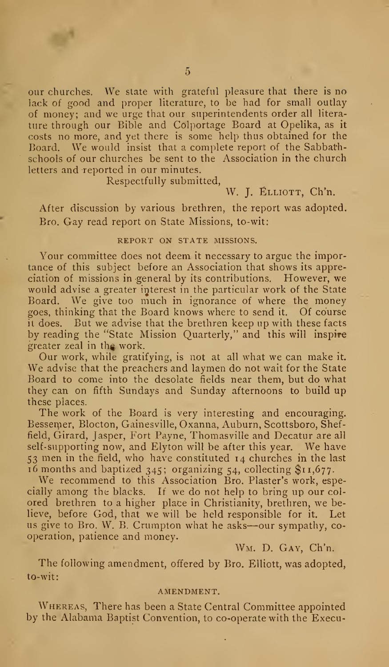our churches. We state with grateful pleasure that there is no lack of good and proper literature, to be had for small outlay of money; and we urge that our superintendents order all litera ture through our Bible and Colportage Board at Opelika, as it costs no more, and yet there is some help thus obtained for the Board. We would insist that <sup>a</sup> complete report of the Sabbathschools of our churches be sent to the Association in the church letters and reported in our minutes.

Respectfully submitted,

#### W. J. ELLIOTT, Ch'n.

After discussion by various brethren, the report was adopted. Bro. Gay read report on State Missions, to-wit:

#### REPORT ON STATE MISSIONS.

Your committee does not deem it necessary to argue the importance of this subject before an Association that shows its appreciation of missions in general by its contributions. However, we would advise a greater interest in the particular work of the State Board. We give too much in ignorance of where the money goes, thinking that the Board knows where to send it. Of course it does. But we advise that the brethren keep up with these facts by reading the "State Mission Quarterly," and this will inspire greater zeal in th§ work.

Our work, while gratifying, is not at all what we can make it. We advise that the preachers and laymen do not wait for the State Board to come into the desolate fields near them, but do what they can on fifth Sundays and Sunday afternoons to build up these places.

The work of the Board is very interesting and encouraging. Bessemer, Blocton, Gainesville, Oxanna, Auburn, Scottsboro, Sheffield, Girard, Jasper, Fort Payne, Thomasville and Decatur are all self-supporting now, and Elyton will be after this year. We have 53 men in the field, who have constituted <sup>14</sup> churches in the last

16 months and baptized 345; organizing 54, collecting \$11,677. We recommend to this Association Bro. Plaster's work, especially among the blacks. If we do not help to bring up our col ored brethren to a higher place in Christianity, brethren, we believe, before God, that we will be held responsible for it. Let us give to Bro. W. B. Crumpton what he asks—our sympathy, co operation, patience and money.

#### Wm. D. Gay, Ch'n.

The following amendment, offered by Bro. Elliott, was adopted, to-wit:

#### AMENDMENT.

Whereas, There has been <sup>a</sup> State Central Committee appointed by the Alabama Baptist Convention, to co-operate with the Execu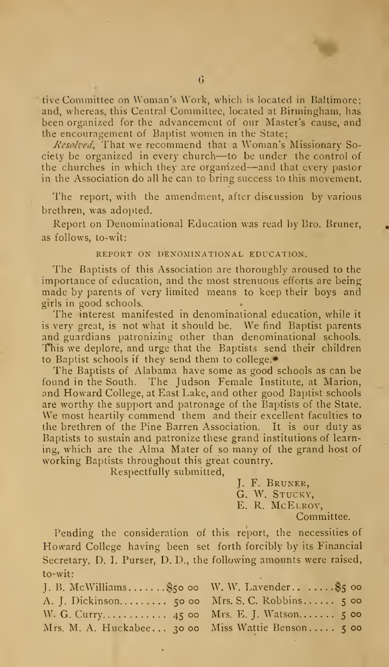tive Committee on Woman's Work, which is located in Baltimore; and, whereas, this Central Committee, located at Birmingham, has been organized for the advancement of our Master's cause, and the encouragement of Baptist women in the State;

Resolved, That we recommend that a Woman's Missionary Society be organized in every church—to be under the control of the churches in which they are organized—and that every pastor in the Association do all he can to bring success to this movement.

The report, with the amendment, after discussion by various brethren, was adopted.

Report on Denominational Education was read by Bro. Bruner, as follows, to-wit:

#### REPORT ON DENOMINATIONAL EDUCATION.

The Baptists of this Association are thoroughly aroused to the importance of education, and the most strenuous efforts are being made by parents of very limited means to keep their boys and girls in good schools.

The interest manifested in denominational education, while it is very great, is not what it should be. We find Baptist parents and guardians patronizing other than denominational schools. This we deplore, and urge that the Baptists send their children to Baptist schools if they send them to college.

The Baptists of Alabama have some as good schools as can be found in the South. The Judson Female Institute, at Marion, and Howard College, at East Lake, and other good Baptist schools are worthy the support and patronage of the Baptists of the State. We most heartily commend them and their excellent faculties to the brethren of the Pine Barren Association. It is our duty as Baptists to sustain and patronize these grand institutions of learning, which are the Alma Mater of so many of the grand host of working Baptists throughout this great country.

Respectfully submitted,

J. F. Bruner, G. W. Stucky, E. R. McElrov, Committee.

Pending the consideration of this report, the necessities of Howard College having been set forth forcibly by its Financial Secretary, D. I. Purser, D. D., the following amounts were raised, to-wit:

| J. B. McWilliams\$50 00 W. W. Lavender\$5 00      |  |
|---------------------------------------------------|--|
| A. J. Dickinson 50 00 Mrs. S. C. Robbins 5 00     |  |
|                                                   |  |
| Mrs. M. A. Huckabee 30 00 Miss Wattie Benson 5 00 |  |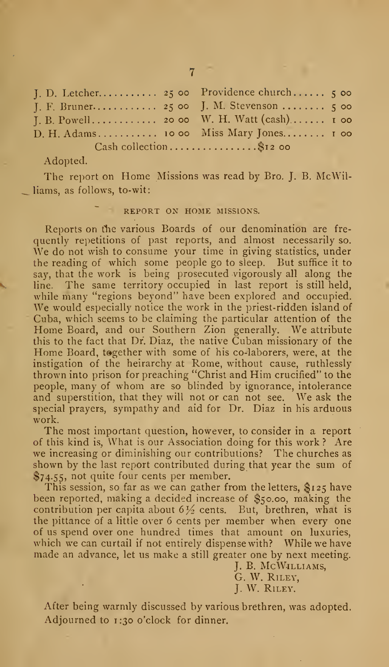|                        |  | J. F. Bruner 25 00 J. M. Stevenson  5 00  |  |  |
|------------------------|--|-------------------------------------------|--|--|
|                        |  | J. B. Powell 20 00 W. H. Watt (cash) 1 00 |  |  |
|                        |  | D. H. Adams 10 00 Miss Mary Jones 1 00    |  |  |
| Cash collection\$12 00 |  |                                           |  |  |

Adopted.

The report on Home Missions was read by Bro. J. B. McWilliams, as follows, to-wit:

#### REPORT ON HOME MISSIONS.

Reports on the various Boards of our denomination are frequently repetitions of past reports, and almost necessarily so. We do not wish to consume your time in giving statistics, under the reading of which some people go to sleep. But suffice it to say, that the work is being prosecuted vigorously all along the line. The same territory occupied in last report is still held, while many "regions beyond" have been explored and occupied. We would especially notice the work in the priest-ridden island of Cuba, which seems to be claiming the particular attention of the Home Board, and our Southern Zion generally. We attribute this to the fact that Dr. Diaz, the native Cuban missionary of the Home Board, together with some of his co-laborers, were, at the instigation of the heirarchy at Rome, without cause, ruthlessly thrown into prison for preaching "Christ and Him crucified" to the people, many of whom are so blinded by ignorance, intolerance and superstition, that they will not or can not see. We ask the special prayers, sympathy and aid for Dr. Diaz in his arduous work.

The most important question, however, to consider in a report of this kind is. What is our Association doing for this work ? Are we increasing or diminishing our contributions? The churches as shown by the last report contributed during that year the sum of \$74.55, not quite four cents per member.

This session, so far as we can gather from the letters, \$125 have been reported, making a decided increase of \$50.00, making the contribution per capita about  $6\frac{1}{2}$  cents. But, brethren, what is the pittance of a little over 6 cents per member when every one of us spend over one hundred times that amount on luxuries, which we can curtail if not entirely dispense with? While we have made an advance, let us make a still greater one by next meeting.

J. B. McWlLLIAMS, G. W. Riley, J. W. Riley.

After being warmly discussed by various brethren, was adopted. Adjourned to 1:30 o'clock for dinner.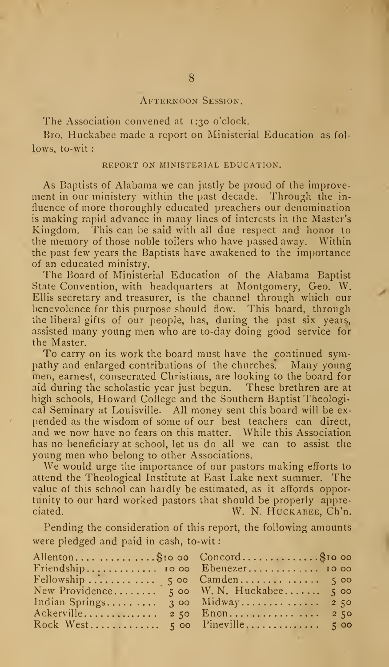#### Afternoon Session.

The Association convened at 1:30 o'clock.

Bro. Huckabee made a report on Ministerial Education as fol lows, to-wit :

#### report on ministerial education.

As Baptists of Alabama we can justly be proud of the improvement in our ministery within the past decade. Through the in fluence of more thoroughly educated preachers our denomination is making rapid advance in many lines of interests in the Master's Kingdom. This can be said with all due respect and honor to the memory of those noble toilers who have passed away. Within the past few years the Baptists have awakened to the importance of an educated ministry.

The Board of Ministerial Education of the Alabama Baptist State Convention, with headquarters at Montgomery, Geo. W. Ellis secretary and treasurer, is the channel through which our benevolence for this purpose should flow. This board, through the liberal gifts of our people, has, during the past six years, assisted many young men who are to-day doing good service for the Master.

To carry on its work the board must have the continued sympathy and enlarged contributions of the churches. Many young men, earnest, consecrated Christians, are looking to the board for aid during the scholastic year just begun. These brethren are at high schools, Howard College and the Southern Baptist Theological Seminary at Louisville. All money sent this board will be ex pended as the wisdom of some of our best teachers can direct, and we now have no fears on this matter. While this Association has no beneficiary at school, let us do all we can to assist the young men who belong to other Associations.

We would urge the importance of our pastors making efforts to attend the Theological Institute at East Lake next summer. The value of this school can hardly be estimated, as it affords opportunity to our hard worked pastors that should be properly appreciated. W. N. Huckabee, Ch'n.

Pending the consideration of this report, the following amounts were pledged and paid in cash, to-wit

|  | Friendship 10 00 Ebenezer 10 00        |  |
|--|----------------------------------------|--|
|  |                                        |  |
|  | New Providence 5 00 W.N. Huckabee 5 00 |  |
|  | Indian Springs 300 Midway 250          |  |
|  | Ackerville 250 Enon 250                |  |
|  |                                        |  |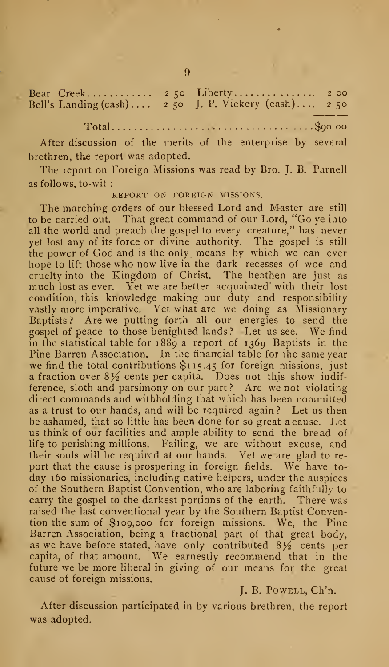Bear Creek............ 2 50 Liberty................... 2 00 Bell's Landing (cash).... 2 50 J.P. Vickery (cash).... 2 50

 $Total \dots \dots \dots \dots \dots \dots \dots \dots \dots \dots \$ 

After discussion of the merits of the enterprise by several brethren, the report was adopted.

The report on Foreign Missions was read by Bro. J. B. Parnell as follows, to-wit :

#### REPORT ON FOREIGN MISSIONS.

The marching orders of our blessed Lord and Master are still to be carried out. That great command of our Lord, "Go ye into all the world and preach the gospel to every creature," has never yet lost any of its force or divine authority. The gospel is still the power of God and is the only means by which we can ever hope to lift those who now live in the dark recesses of woe and cruelty into the Kingdom of Christ. The heathen are just as much lost as ever. Yet we are better acquainted with their lost condition, this knowledge making our duty and responsibility vastly more imperative. Yet what are we doing as Missionary Baptists ? Are we putting forth all our energies to send the gospel of peace to those benighted lands? Let us see. We find in the statistical table for 1889 a report of 1369 Baptists in the Pine Barren Association. In the financial table for the same year we find the total contributions \$115.45 for foreign missions, just a fraction over  $8\frac{1}{2}$  cents per capita. Does not this show indifference, sloth and parsimony on our part? Are we not violating direct commands and withholding that which has been committed as a trust to our hands, and will be required again ? Let us then be ashamed, that so little has been done for so great a cause. Let us think of our facilities and ample ability to send the bread of life to perishing millions. Failing, we are without excuse, and their souls will be required at our hands. Yet we are glad to re port that the cause is prospering in foreign fields. We have to day 160 missionaries, including native helpers, under the auspices of the Southern Baptist Convention, who are laboring faithfully to carry the gospel to the darkest portions of the earth. There was raised the last conventional year by the Southern Baptist Convention the sum of \$109,000 for foreign missions. We, the Pine Barren Association, being a fractional part of that great body, as we have before stated, have only contributed  $8\frac{1}{2}$  cents per capita, of that amount. We earnestly recommend that in the future we be more liberal in giving of our means for the great cause of foreign missions.

#### J. B. Powell, Ch'n.

After discussion participated in by various brethren, the report was adopted.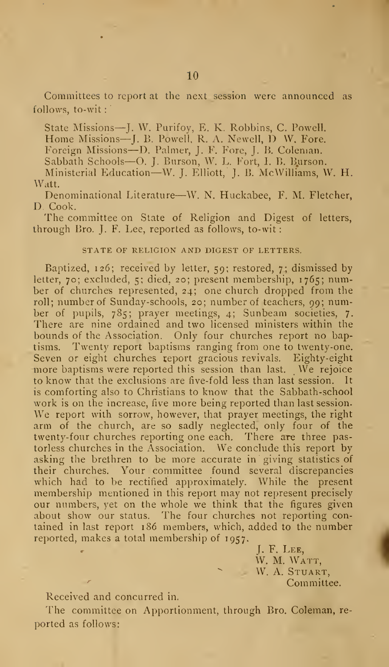Committees to report at the next session were announced as follows, to-wit

State Missions—J. W. Purifoy, E. K. Robbins, C. Powell. Home Missions—J. B. Powell, R. A. Newell, <sup>D</sup> \V. Fore. Foreign Missions—D. Palmer, J. F. Fore, J. B. Coleman. Sabbath Schools—O. J. Burson, W. L. Fort, I. B. Burson.

Ministerial Education—W. J. Elliott, J. B. McWilliams, W. H. Watt.

Denominational Literature—W. N. Huckabee, F. M. Fletcher, D. Cook.

The committee on State of Religion and Digest of letters, through Bro. J. F. Lee, reported as follows, to-wit:

#### STATE OF RELIGION AND DIGEST OF LETTERS.

Baptized, 126; received by letter, 59; restored, 7; dismissed by letter, 70; excluded, 5; died, 20; present membership, 1765; number of churches represented, 24; one church dropped from the roll; number of Sunday-schools, 20; number of teachers, 99; number of pupils, 785; prayer meetings, 4; Sunbeam societies, 7. There are nine ordained and two licensed ministers within the bounds of the Association. Only four churches report no baptisms. Twenty report baptisms ranging from one to twenty-one. Seven or eight churches teport gracious revivals. Eighty-eight more baptisms were reported this session than last. We rejoice to know that the exclusions are five-fold less than last session. It is comforting also to Christians to know that the Sabbath-school work is on the increase, five more being reported than last session.<br>We report with sorrow, however, that prayer meetings, the right arm of the church, are so sadly neglected, only four of the twenty-four churches reporting one each. There are three pastorless churches in the Association. We conclude this report by asking the brethren to be more accurate in giving statistics of their churches. Your committee found several discrepancies which had to be rectified approximately. While the present membership mentioned in this report may not represent precisely our numbers, yet on the whole we think that the figures given about show our status. The four churches not reporting contained in last report 186 members, which, added to the number reported, makes a total membership of 1957.

> , J. F. Lee, W. M. WATT, W. A. STUART, Committee.

i

#### Received and concurred in.

The committee on Apportionment, through Bro. Coleman, re ported as follows: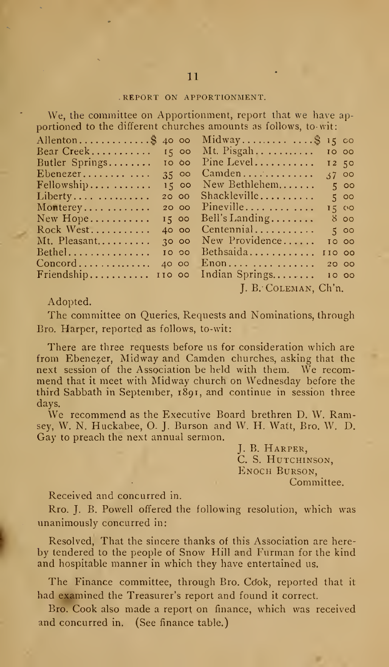#### .REPORT ON APPORTIONMENT.

We, the committee on Apportionment, report that we have ap portioned to the different churches amounts as follows, to- wit:

| Allenton |                                                                                                                                       |                                                                                 |             |                                                                                                                                                      |
|----------|---------------------------------------------------------------------------------------------------------------------------------------|---------------------------------------------------------------------------------|-------------|------------------------------------------------------------------------------------------------------------------------------------------------------|
|          |                                                                                                                                       |                                                                                 |             |                                                                                                                                                      |
|          | Pine Level                                                                                                                            |                                                                                 |             |                                                                                                                                                      |
|          | Canden                                                                                                                                |                                                                                 |             |                                                                                                                                                      |
|          | New Bethlehem                                                                                                                         |                                                                                 |             |                                                                                                                                                      |
|          |                                                                                                                                       |                                                                                 |             |                                                                                                                                                      |
|          | Pineville                                                                                                                             |                                                                                 |             |                                                                                                                                                      |
|          |                                                                                                                                       |                                                                                 |             |                                                                                                                                                      |
|          |                                                                                                                                       |                                                                                 |             |                                                                                                                                                      |
|          | New Providence                                                                                                                        |                                                                                 |             |                                                                                                                                                      |
|          |                                                                                                                                       |                                                                                 |             |                                                                                                                                                      |
|          |                                                                                                                                       |                                                                                 |             |                                                                                                                                                      |
|          | Indian Springs                                                                                                                        |                                                                                 |             |                                                                                                                                                      |
|          |                                                                                                                                       |                                                                                 |             |                                                                                                                                                      |
|          | 40 00<br>15 00<br><b>10 00</b><br>35 00<br>1500<br>20 00<br>20 00<br>15 00<br>40 00<br>3000<br><b>IO 00</b><br>40 00<br><b>IIO 00</b> | Mt. Pisgah<br>Shackleville<br>Bell's Landing<br>Centennial<br>Bethsaida<br>Enon | $Midway$ \$ | $15$ co<br>10 00<br>I2 50<br>.5700<br>500<br>500<br>1500<br>$8$ 00<br>500<br><b>IO 00</b><br><b>IIO 00</b><br>20 00<br>10 00<br>J. B. COLEMAN, Ch'n. |

Adopted.

The committee on Queries, Requests and Nominations, through Bro. Harper, reported as follows, to-wit:

There are three requests before us for consideration which are from Ebenezer, Midway and Camden churches, asking that the next session of the Association be held with them. We recom mend that it meet with Midway church on Wednesday before the third Sabbath in September, 1891, and continue in session three days.

We recommend as the Executive Board brethren D. W. Ramsey, W. N. Huckabee, O. J. Burson and W. H. Watt, Bro. W. D. Gay to preach the next annual sermon.

> J. B. Harper, C. S. HUTCHINSON, Enoch Burson, Committee,

Received and concurred in.

Rro. J. B. Powell offered the following resolution, which was unanimously concurred in:

Resolved, That the sincere thanks of this Association are here by tendered to the people of Snow Hill and Furman for the kind and hospitable manner in which they have entertained us.

The Finance committee, through Bro. Cook, reported that it had examined the Treasurer's report and found it correct.

Bro. Cook also made a report on finance, which was received and concurred in. (See finance table.)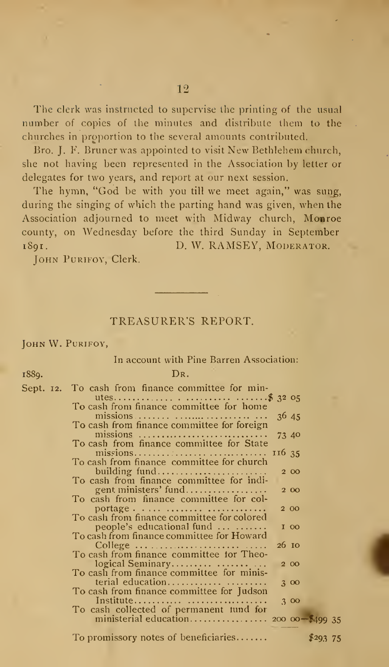The clerk was instructed to supervise the printing of the usual number of copies of ihe minutes and distribute them to the churches in proportion to the several amounts contributed.

Bro. J. F. Bruner was appointed to visit New Bethlehem church, she not having been represented in the Association by letter or delegates for two years, and report at our next session.

The hymn, "God be with you till we meet again," was sung, during the singing of which the parting hand was given, when the Association adjourned to meet with Midway church, Monroe county, on Wednesday before the third Sunday in September 1891. D. W. RAMSEY, MODERATOR.

JOHN PURIFOY, Clerk.

#### TREASURER'S REPORT.

JOHN W. PURIFOY,

#### In account with Pine Barren Association:

1889. Dr.

| 1009. |  |  |
|-------|--|--|
|       |  |  |

| Sept. 12. To cash from finance committee for min-                                                 |  |
|---------------------------------------------------------------------------------------------------|--|
| utes \$ 32 05                                                                                     |  |
| To cash from finance committee for home<br>3645                                                   |  |
| To cash from finance committee for foreign                                                        |  |
| $\overline{\text{missions}} \dots \dots \dots \dots \dots \dots \dots \dots \dots \dots$<br>73 40 |  |
| To cash from finance committee for State                                                          |  |
| To cash from finance committee for church                                                         |  |
| 2 00                                                                                              |  |
| To cash from finance committee for indi-<br>2 00                                                  |  |
| To cash from finance committee for col-                                                           |  |
| 2 00                                                                                              |  |
| To cash from finance committee for colored                                                        |  |
| people's educational fund $\dots \dots$<br>$I_{0}$<br>To cash from finance committee for Howard   |  |
| 26 IO<br>College $\dots \dots \dots \dots \dots \dots \dots$                                      |  |
| To cash from finance committee for Theo-                                                          |  |
| 2 00<br>To cash from finance committee for minis-                                                 |  |
| terial education<br>300                                                                           |  |
| To cash from finance committee for Judson                                                         |  |
| Institute<br>300<br>To cash collected of permanent fund for                                       |  |
|                                                                                                   |  |
|                                                                                                   |  |

To promissory notes of beneficiaries.......  $$293, 75$ 

I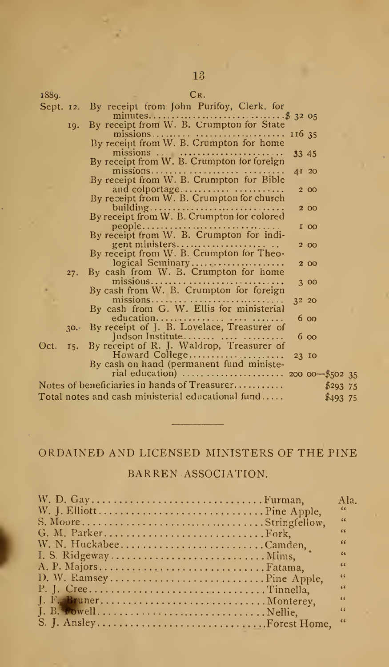| 1889.       |      | CR.                                                                                                                   |        |       |           |  |
|-------------|------|-----------------------------------------------------------------------------------------------------------------------|--------|-------|-----------|--|
| Sept. $12.$ |      | By receipt from John Purifoy, Clerk, for                                                                              |        |       |           |  |
|             | 19.  | minutes\$ 32 05<br>By receipt from W. B. Crumpton for State                                                           |        |       |           |  |
|             |      | missions                                                                                                              | II6 35 |       |           |  |
|             |      | By receipt from W. B. Crumpton for home                                                                               |        |       |           |  |
|             |      | $\text{missions} \dots \dots \dots \dots \dots \dots \dots \dots \dots$<br>By receipt from W. B. Crumpton for foreign | 33 45  |       |           |  |
|             |      | missions                                                                                                              |        | 41 20 |           |  |
|             |      | By receipt from W. B. Crumpton for Bible                                                                              |        |       |           |  |
|             |      | By receipt from $W$ . B. Crumpton for church                                                                          |        | 2 00  |           |  |
|             |      | building                                                                                                              |        | 2 00  |           |  |
|             |      | By receipt from W. B. Crumpton for colored<br>people                                                                  |        | I 00  |           |  |
|             |      | By receipt from W. B. Crumpton for indi-                                                                              |        |       |           |  |
|             |      | gent ministers                                                                                                        |        | 200   |           |  |
|             |      | By receipt from W. B. Crumpton for Theo-<br>logical Seminary                                                          |        | 2 00  |           |  |
|             | 27.  | By cash from W. B. Crumpton for home                                                                                  |        |       |           |  |
|             |      | missions<br>By cash from W. B. Crumpton for foreign                                                                   |        | 300   |           |  |
|             |      | missions                                                                                                              | 32 20  |       |           |  |
|             |      | By cash from G. W. Ellis for ministerial                                                                              |        |       |           |  |
|             | 30.4 | By receipt of J. B. Lovelace, Treasurer of                                                                            |        | 6 00  |           |  |
|             |      | Judson Institute                                                                                                      |        | 6 00  |           |  |
| Oct.        | 15.  | By receipt of R. J. Waldrop, Treasurer of<br>Howard College                                                           |        |       |           |  |
|             |      | By cash on hand (permanent fund ministe-                                                                              |        | 23 IO |           |  |
|             |      | rial education)  200 00-\$502 35                                                                                      |        |       |           |  |
|             |      | Notes of beneficiaries in hands of Treasurer                                                                          |        |       | \$293, 75 |  |
|             |      | Total notes and cash ministerial educational fund                                                                     |        |       | \$493 75  |  |

## ORDAINED AND LICENSED MINISTERS OF THE PINE

## BARREN ASSOCIATION.

|                       | Ala.            |  |
|-----------------------|-----------------|--|
|                       | $\sqrt{2}$      |  |
|                       | 66              |  |
|                       | $\epsilon$      |  |
| W. N. HuckabeeCamden, | $\sqrt{6}$      |  |
| I. S. Ridgeway  Mims, | 66              |  |
|                       | $\overline{11}$ |  |
|                       | 66              |  |
| P. J. CreeTinnella,   | 66              |  |
|                       | $\overline{11}$ |  |
|                       | $\sqrt{2}$      |  |
|                       | 66              |  |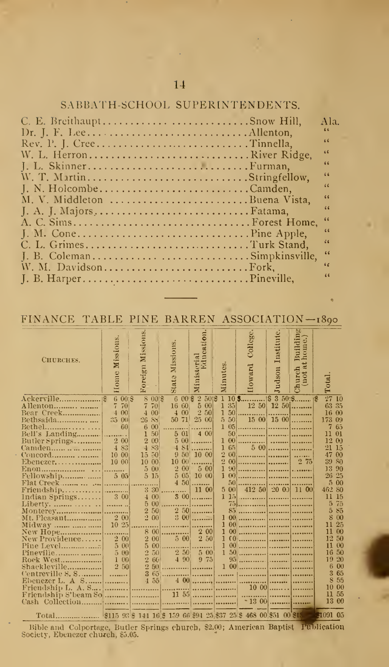### SABBATH-SCHOOL SUPERINTENDENTS.

| C. E. BreithauptSnow Hill,   | Ala.            |
|------------------------------|-----------------|
|                              | 66.             |
| Rev. P. J. CreeTinnella,     | $\overline{66}$ |
| W. L. HerronRiver Ridge,     | $\overline{11}$ |
| J. L. SkinnerFurman,         | 66              |
|                              | 66              |
| J. N. HolcombeCamden,        | $\overline{11}$ |
| M. V. Middleton Buena Vista, | $\overline{11}$ |
|                              | $\epsilon$      |
|                              | 66              |
|                              | 66              |
| C. L. GrimesTurk Stand,      | 34              |
|                              | $\overline{11}$ |
|                              | 6 <sub>6</sub>  |
|                              | $\epsilon$      |

### FINANCE TABLE PINE BARREN ASSOCIATION-1890

| 60015<br>$800\$<br>$7-70$<br>35 <sub>1</sub><br>$12,50$<br>7,70<br>500<br>$\mathbf{1}$<br>12,50<br>16 60 | $27-10$<br>63 35          |
|----------------------------------------------------------------------------------------------------------|---------------------------|
|                                                                                                          |                           |
|                                                                                                          |                           |
| $\overline{2}$<br>150<br>Bear Creek<br>$\overline{4}$<br>$\Omega$<br>50<br>400<br>00<br>$\mathbf{4}$<br> | 16 00                     |
| 71<br>2500<br>$1500$ [<br>50<br>$5^{\circ}$<br>15 00<br>35 00<br>26 SS<br>501                            | 173 09                    |
| Bethel.<br>60<br>$1\,05$<br>0 <sup>0</sup><br>6<br>.                                                     | 765                       |
| Bell's Landing<br>1,50<br>400<br>50<br>.<br>5 01<br>. 1<br>                                              | 11 01                     |
| $\omega$<br>2 00<br>5 00<br>Butler Springs<br>$2\,00$<br>. 1<br>                                         | 12 00                     |
| 5 00<br>483<br>484<br>4 83<br>1 65<br>Camden<br>. 1                                                      | 2115                      |
| 50 <sup>°</sup><br>10 00<br>$2\,00$<br>50<br>10 00<br>15<br>9<br>                                        | 47 00                     |
| 2 75<br>$\Theta$<br>$\overline{2}$<br> 00 <br>10<br>Ebenezer<br>10 00<br>10<br>00                        | 39<br>-80                 |
| $\overline{2}$<br>00 <sup>1</sup><br>5 00<br>$\overline{5}$<br>00<br>90 <sup>°</sup><br>1<br>. 1         | 13 90                     |
| 505<br>100<br>Fellowship<br>$-5.05$<br>$5-15$<br>10 00<br>. 1<br>.                                       | 26 25                     |
| -50<br>50 <sup>1</sup><br>$\overline{4}$<br>Flat Creek<br><br>                                           | 5 00                      |
| 412 50 20 00 11 00<br>Friendship<br>330<br>11 00<br>5 001                                                | 462 80                    |
| 300<br>300<br>1,15<br>Indian Springs<br>$-400$<br>. 1<br>.<br>.                                          | 11 15                     |
| 75<br>5 00<br>Liberty. $\dots$<br>                                                                       | 5 75                      |
| 250<br>$\overline{2}$<br>50 <sub>1</sub><br>85<br>Monterey                                               | 585                       |
| 200<br>3 00<br>$-2.00$<br>Mt. Pleasant                                                                   | <b>8 00</b>               |
| 1025<br>100<br>Midway                                                                                    | 25<br>$\mathbf{u}$        |
| 8 00<br>2 00<br>$\infty$<br>1                                                                            | 11 00                     |
| 2 50<br>5 00<br>$2 \ 00$<br>200<br>New Providence                                                        | 12 50                     |
| 5 00<br>00 <sup>1</sup><br>500                                                                           | $\infty$<br>$\mathbf{11}$ |
| 500<br>$\overline{2}$<br>50<br>250<br>5 00<br>150<br>Pinevilic<br>.                                      | 50<br>16                  |
| 490<br>260<br>9.75<br>95<br>1 00<br>Rock West<br>                                                        | 20<br>19                  |
| 2 50<br>2 50<br>Shackleville<br>. 1                                                                      | 6 00                      |
| Centreville S. S.<br>3 65<br>   <br>1.1.1.1.1.1.1                                                        | 3 65<br>$\mathbf{s}$      |
| $4\overline{55}$<br>Ebenezer L. A S.<br>                                                                 | 55<br>10 00               |
| 10 00<br>.                                                                                               | 55<br>$\mathbf{u}$        |
| .<br>                                                                                                    | 13 00                     |
|                                                                                                          |                           |
| 9115 02 8 141 16 8 159 66 891 95 837 95 8 468 00 851 00 815<br>Total                                     | 1091 05                   |

Bible and Colportage, Butler Springs church,  $\S 2.00$ ; American Baptist Publication Society, Ebenezer church,  $\S 5.05.$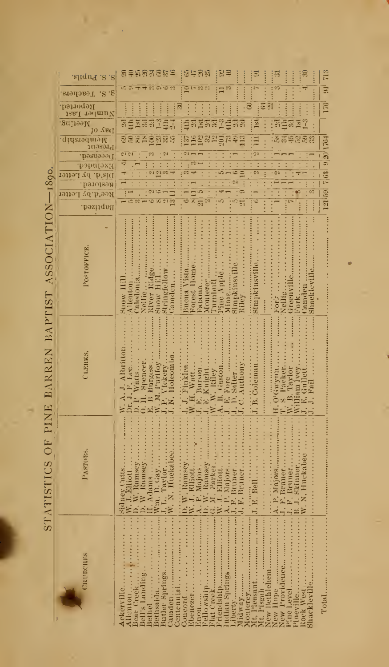| 000.                                    |  |
|-----------------------------------------|--|
|                                         |  |
|                                         |  |
|                                         |  |
| TIN                                     |  |
|                                         |  |
|                                         |  |
|                                         |  |
|                                         |  |
|                                         |  |
| Ę                                       |  |
|                                         |  |
|                                         |  |
|                                         |  |
|                                         |  |
|                                         |  |
| $1.611$ 1.14                            |  |
|                                         |  |
|                                         |  |
|                                         |  |
|                                         |  |
|                                         |  |
|                                         |  |
|                                         |  |
|                                         |  |
|                                         |  |
|                                         |  |
|                                         |  |
|                                         |  |
|                                         |  |
|                                         |  |
|                                         |  |
|                                         |  |
| ATICS OF PINE BARRN RAPTIST ASSOLIATION |  |
|                                         |  |
|                                         |  |
|                                         |  |
|                                         |  |
|                                         |  |
|                                         |  |
| $\overline{)}$                          |  |
|                                         |  |
|                                         |  |
|                                         |  |
|                                         |  |
| <b><i>Part 2022</i></b>                 |  |
|                                         |  |
|                                         |  |
|                                         |  |
|                                         |  |
|                                         |  |
|                                         |  |
|                                         |  |

٠

| sliquq .2                            | <u>yawangna</u><br>$18 + 88$<br>[러우<br>$\ddot{ }$                                                                                                                                                                                                                                                                                                                                                                                                                                                                       | $\frac{3}{1}$        |
|--------------------------------------|-------------------------------------------------------------------------------------------------------------------------------------------------------------------------------------------------------------------------------------------------------------------------------------------------------------------------------------------------------------------------------------------------------------------------------------------------------------------------------------------------------------------------|----------------------|
| stoffored .2 .2                      | $e^{i\pi}$<br>က တ တ က<br>$\Xi_{32}$                                                                                                                                                                                                                                                                                                                                                                                                                                                                                     | $\frac{1}{\sqrt{2}}$ |
| Ieported.<br>Behore Last.            | 53<br>¢<br>$\mathbf{e}$<br>$\ddot{\cdots}$<br>$\ddot{\ddot{\cdot}}$<br>X<br>$\ddot{\ddot{\cdot}}$<br>÷.<br>İ<br><br>$\vdots$<br>$\ddot{\ddot{\cdot}}$<br>$\ddot{}$<br>$\ddot{\ddot{\cdot}}$<br>ļ<br>Ŧ                                                                                                                                                                                                                                                                                                                   | 176                  |
| Meeting.<br>to y <mark>e</mark> t    | <b>EERERRY</b><br>ren<br>4th<br>afrik<br>$\mathbb{Z}^{\mathbb{Z}}_{2}$<br>125sz<br>Ľ<br>$\overline{181}$<br>ł                                                                                                                                                                                                                                                                                                                                                                                                           |                      |
| Menbership.<br>JHOSOJ <sub>c</sub> J | <b>HENN</b><br>gran<br><b>ESSERES</b><br>$\frac{137}{27}$<br>ñ<br>33<br>මයි<br>E                                                                                                                                                                                                                                                                                                                                                                                                                                        | 7 63 9 20 1764       |
| Deceased.                            | $\overline{\mathbb{R}}$                                                                                                                                                                                                                                                                                                                                                                                                                                                                                                 |                      |
| Excluded.                            | t                                                                                                                                                                                                                                                                                                                                                                                                                                                                                                                       |                      |
| Dis'd. by Letter                     | Ţ<br>$\frac{1}{2}$<br>$\frac{5}{2}$<br>Þ<br>¢Q<br>21                                                                                                                                                                                                                                                                                                                                                                                                                                                                    |                      |
| Restored                             | 24                                                                                                                                                                                                                                                                                                                                                                                                                                                                                                                      |                      |
| Rec'd.by Letter                      | $\tilde{\mathcal{L}}$<br>$\tilde{c}$<br>$\overline{a}$                                                                                                                                                                                                                                                                                                                                                                                                                                                                  |                      |
| Baptized.                            | 21 <sub>1</sub><br>x<br>$\mathbf{r}$<br>G<br>$\mathfrak{p}$<br>e,<br>S<br>븕                                                                                                                                                                                                                                                                                                                                                                                                                                             | 121 59               |
| POSTOFFICE.                          | î<br>l'urnbull<br>line Apple<br><br>Forest Home<br>aledonia<br>Fatama<br><b>Buena</b> Vista<br>Nellie…… .<br>Allenton<br>Strlngfellow<br>Nellie<br>River Ridge.<br>Snow Hill<br>Shackleville<br>Simpkinsvi<br>inow IIII<br>Freenville<br>Montere"<br><i>lamden</i><br>Camd<br>Fork                                                                                                                                                                                                                                      |                      |
| <b>CLERKS</b>                        | J. Albritton<br>P. Vickery<br>N. Holcombe<br>$\Gamma$ . Lee<br>$O^{\prime}$ GWWM<br>D. P Watts<br>C. H. Spencer.<br>E. B Burgess<br>W. M. Purifoy<br>$[\begin{array}{c} 1,~J.~\textbf{Finklen} \ldots\\ (W.~H.~\textbf{Watt} \ldots\\ (J.~B.~\textbf{Bursen} \ldots\\ (J.~B.~\textbf{Kmlet} \ldots\\ \end{array} \ldots]$<br>T. S. Packer.<br>W. B. Taylor<br>J. B. Coleman<br>Viekery<br>13. Gastor<br>C. Anthon<br>William lvey<br>W.W. Riley<br><br>E. Fore<br>1). Salter<br>Gull<br>W.A.<br>Dr. J.<br>$\frac{1}{2}$ |                      |
| PASTORS.                             | J. L. Taylor<br>W. N. Huckabee<br>A. P. Majors<br>.I. F. Bruner<br>Wm. D. Gay<br>P. Majors.<br>$W$ . I. Elliott $\ldots$<br>$W$ . Ramsey.<br>$W$ . Ramsey.<br>$H$ . Adams.<br>W. Ramsey<br>D. W. Ramsey<br>W. J. Elliott<br>J. F. Bruner.<br>B. J. Skinner.<br>M. Parker<br>ney Catts<br>druner<br>F. Bruner<br>F. Bruner<br>E. Bel<br>È,<br>E<br>Å,<br>≤ં≵ં                                                                                                                                                            |                      |
| Currents                             | New Bethlehem<br>Butler Springs<br>Bethsaida<br>Mt, Pleasant<br>Bell's Landi<br>Ackerville<br>Bear Cree<br>Mt. Pisgal<br>Jentenni<br>Pine Leve<br>toek Wes<br>Friendsh<br>Allenton<br>cellowsh<br>Monterey<br>Plaeville<br>ilat Cree<br>Midway.<br>Jamden<br>ndian S<br>.ilserty<br>Bethel<br>New 1<br>New <sub>1</sub>                                                                                                                                                                                                 | Total                |

Ŷ,

ċ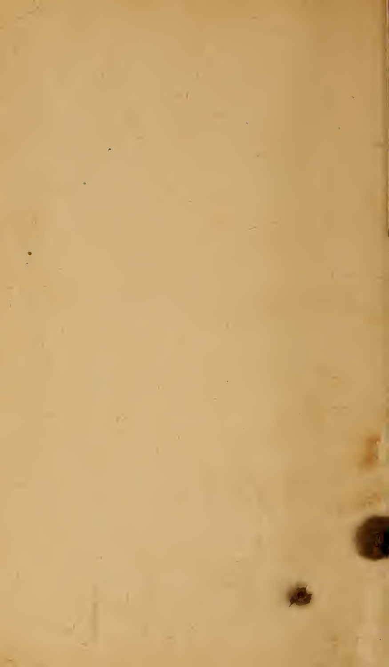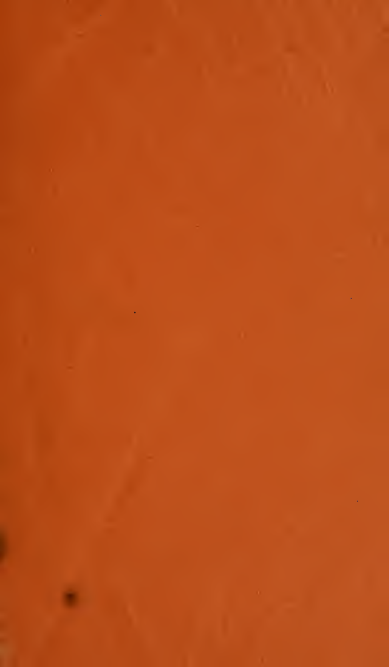